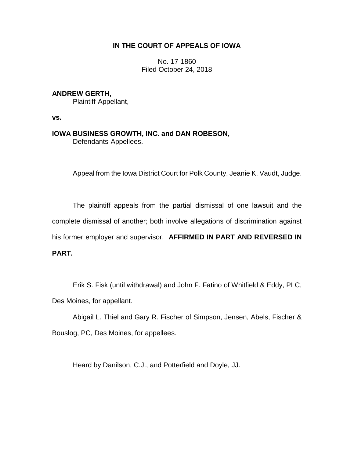# **IN THE COURT OF APPEALS OF IOWA**

No. 17-1860 Filed October 24, 2018

**ANDREW GERTH,**

Plaintiff-Appellant,

**vs.**

**IOWA BUSINESS GROWTH, INC. and DAN ROBESON,** Defendants-Appellees.

Appeal from the Iowa District Court for Polk County, Jeanie K. Vaudt, Judge.

\_\_\_\_\_\_\_\_\_\_\_\_\_\_\_\_\_\_\_\_\_\_\_\_\_\_\_\_\_\_\_\_\_\_\_\_\_\_\_\_\_\_\_\_\_\_\_\_\_\_\_\_\_\_\_\_\_\_\_\_\_\_\_\_

The plaintiff appeals from the partial dismissal of one lawsuit and the complete dismissal of another; both involve allegations of discrimination against his former employer and supervisor. **AFFIRMED IN PART AND REVERSED IN PART.**

Erik S. Fisk (until withdrawal) and John F. Fatino of Whitfield & Eddy, PLC, Des Moines, for appellant.

Abigail L. Thiel and Gary R. Fischer of Simpson, Jensen, Abels, Fischer & Bouslog, PC, Des Moines, for appellees.

Heard by Danilson, C.J., and Potterfield and Doyle, JJ.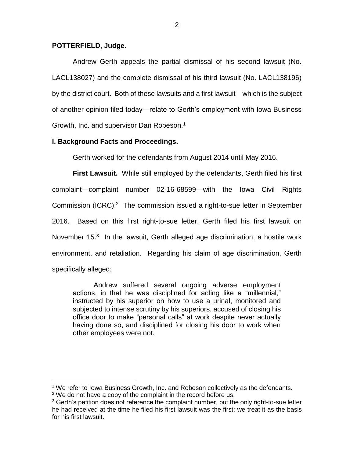## **POTTERFIELD, Judge.**

Andrew Gerth appeals the partial dismissal of his second lawsuit (No. LACL138027) and the complete dismissal of his third lawsuit (No. LACL138196) by the district court. Both of these lawsuits and a first lawsuit—which is the subject of another opinion filed today—relate to Gerth's employment with Iowa Business Growth, Inc. and supervisor Dan Robeson.<sup>1</sup>

# **I. Background Facts and Proceedings.**

Gerth worked for the defendants from August 2014 until May 2016.

**First Lawsuit.** While still employed by the defendants, Gerth filed his first complaint—complaint number 02-16-68599—with the Iowa Civil Rights Commission (ICRC).<sup>2</sup> The commission issued a right-to-sue letter in September 2016. Based on this first right-to-sue letter, Gerth filed his first lawsuit on November 15.<sup>3</sup> In the lawsuit, Gerth alleged age discrimination, a hostile work environment, and retaliation. Regarding his claim of age discrimination, Gerth specifically alleged:

Andrew suffered several ongoing adverse employment actions, in that he was disciplined for acting like a "millennial," instructed by his superior on how to use a urinal, monitored and subjected to intense scrutiny by his superiors, accused of closing his office door to make "personal calls" at work despite never actually having done so, and disciplined for closing his door to work when other employees were not.

<sup>1</sup> We refer to Iowa Business Growth, Inc. and Robeson collectively as the defendants.

 $2$  We do not have a copy of the complaint in the record before us.

 $3$  Gerth's petition does not reference the complaint number, but the only right-to-sue letter he had received at the time he filed his first lawsuit was the first; we treat it as the basis for his first lawsuit.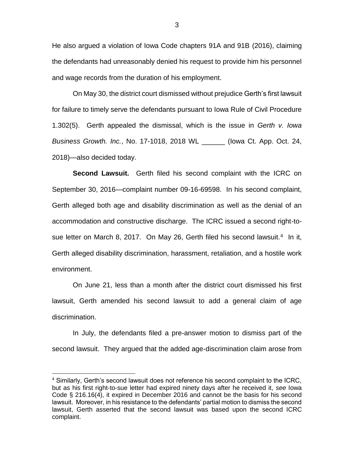He also argued a violation of Iowa Code chapters 91A and 91B (2016), claiming the defendants had unreasonably denied his request to provide him his personnel and wage records from the duration of his employment.

On May 30, the district court dismissed without prejudice Gerth's first lawsuit for failure to timely serve the defendants pursuant to Iowa Rule of Civil Procedure 1.302(5). Gerth appealed the dismissal, which is the issue in *Gerth v. Iowa Business Growth. Inc.*, No. 17-1018, 2018 WL \_\_\_\_\_\_ (Iowa Ct. App. Oct. 24, 2018)—also decided today.

**Second Lawsuit.** Gerth filed his second complaint with the ICRC on September 30, 2016—complaint number 09-16-69598. In his second complaint, Gerth alleged both age and disability discrimination as well as the denial of an accommodation and constructive discharge. The ICRC issued a second right-tosue letter on March 8, 2017. On May 26, Gerth filed his second lawsuit.<sup>4</sup> In it, Gerth alleged disability discrimination, harassment, retaliation, and a hostile work environment.

On June 21, less than a month after the district court dismissed his first lawsuit, Gerth amended his second lawsuit to add a general claim of age discrimination.

In July, the defendants filed a pre-answer motion to dismiss part of the second lawsuit. They argued that the added age-discrimination claim arose from

<sup>4</sup> Similarly, Gerth's second lawsuit does not reference his second complaint to the ICRC, but as his first right-to-sue letter had expired ninety days after he received it, *see* Iowa Code § 216.16(4), it expired in December 2016 and cannot be the basis for his second lawsuit. Moreover, in his resistance to the defendants' partial motion to dismiss the second lawsuit, Gerth asserted that the second lawsuit was based upon the second ICRC complaint.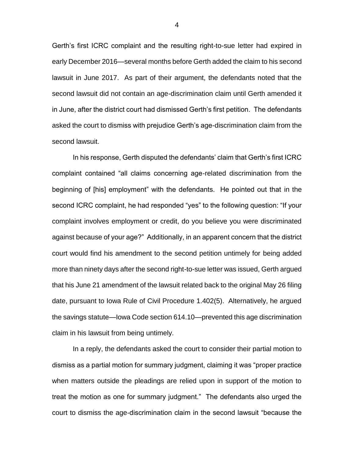Gerth's first ICRC complaint and the resulting right-to-sue letter had expired in early December 2016—several months before Gerth added the claim to his second lawsuit in June 2017. As part of their argument, the defendants noted that the second lawsuit did not contain an age-discrimination claim until Gerth amended it in June, after the district court had dismissed Gerth's first petition. The defendants asked the court to dismiss with prejudice Gerth's age-discrimination claim from the second lawsuit.

In his response, Gerth disputed the defendants' claim that Gerth's first ICRC complaint contained "all claims concerning age-related discrimination from the beginning of [his] employment" with the defendants. He pointed out that in the second ICRC complaint, he had responded "yes" to the following question: "If your complaint involves employment or credit, do you believe you were discriminated against because of your age?" Additionally, in an apparent concern that the district court would find his amendment to the second petition untimely for being added more than ninety days after the second right-to-sue letter was issued, Gerth argued that his June 21 amendment of the lawsuit related back to the original May 26 filing date, pursuant to Iowa Rule of Civil Procedure 1.402(5). Alternatively, he argued the savings statute—Iowa Code section 614.10—prevented this age discrimination claim in his lawsuit from being untimely.

In a reply, the defendants asked the court to consider their partial motion to dismiss as a partial motion for summary judgment, claiming it was "proper practice when matters outside the pleadings are relied upon in support of the motion to treat the motion as one for summary judgment." The defendants also urged the court to dismiss the age-discrimination claim in the second lawsuit "because the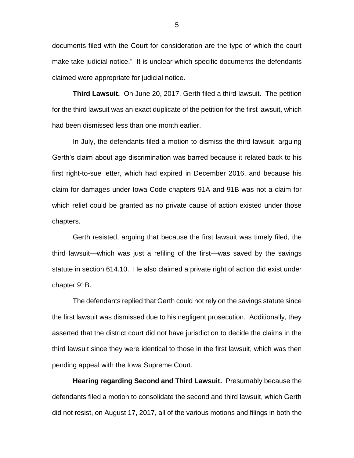documents filed with the Court for consideration are the type of which the court make take judicial notice." It is unclear which specific documents the defendants claimed were appropriate for judicial notice.

**Third Lawsuit.** On June 20, 2017, Gerth filed a third lawsuit. The petition for the third lawsuit was an exact duplicate of the petition for the first lawsuit, which had been dismissed less than one month earlier.

In July, the defendants filed a motion to dismiss the third lawsuit, arguing Gerth's claim about age discrimination was barred because it related back to his first right-to-sue letter, which had expired in December 2016, and because his claim for damages under Iowa Code chapters 91A and 91B was not a claim for which relief could be granted as no private cause of action existed under those chapters.

Gerth resisted, arguing that because the first lawsuit was timely filed, the third lawsuit—which was just a refiling of the first—was saved by the savings statute in section 614.10. He also claimed a private right of action did exist under chapter 91B.

The defendants replied that Gerth could not rely on the savings statute since the first lawsuit was dismissed due to his negligent prosecution. Additionally, they asserted that the district court did not have jurisdiction to decide the claims in the third lawsuit since they were identical to those in the first lawsuit, which was then pending appeal with the Iowa Supreme Court.

**Hearing regarding Second and Third Lawsuit.** Presumably because the defendants filed a motion to consolidate the second and third lawsuit, which Gerth did not resist, on August 17, 2017, all of the various motions and filings in both the

5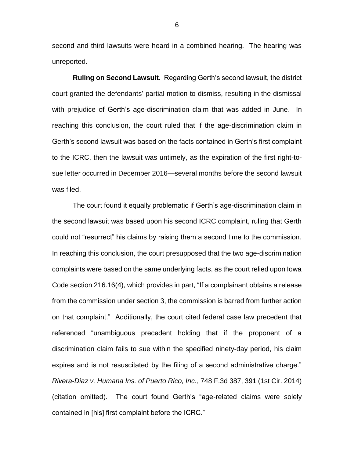second and third lawsuits were heard in a combined hearing. The hearing was unreported.

**Ruling on Second Lawsuit.** Regarding Gerth's second lawsuit, the district court granted the defendants' partial motion to dismiss, resulting in the dismissal with prejudice of Gerth's age-discrimination claim that was added in June. In reaching this conclusion, the court ruled that if the age-discrimination claim in Gerth's second lawsuit was based on the facts contained in Gerth's first complaint to the ICRC, then the lawsuit was untimely, as the expiration of the first right-tosue letter occurred in December 2016—several months before the second lawsuit was filed.

The court found it equally problematic if Gerth's age-discrimination claim in the second lawsuit was based upon his second ICRC complaint, ruling that Gerth could not "resurrect" his claims by raising them a second time to the commission. In reaching this conclusion, the court presupposed that the two age-discrimination complaints were based on the same underlying facts, as the court relied upon Iowa Code section 216.16(4), which provides in part, "If a complainant obtains a release from the commission under section 3, the commission is barred from further action on that complaint." Additionally, the court cited federal case law precedent that referenced "unambiguous precedent holding that if the proponent of a discrimination claim fails to sue within the specified ninety-day period, his claim expires and is not resuscitated by the filing of a second administrative charge." *Rivera-Diaz v. Humana Ins. of Puerto Rico, Inc.*, 748 F.3d 387, 391 (1st Cir. 2014) (citation omitted). The court found Gerth's "age-related claims were solely contained in [his] first complaint before the ICRC."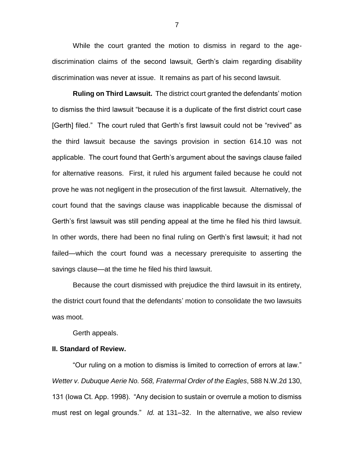While the court granted the motion to dismiss in regard to the agediscrimination claims of the second lawsuit, Gerth's claim regarding disability discrimination was never at issue. It remains as part of his second lawsuit.

**Ruling on Third Lawsuit.** The district court granted the defendants' motion to dismiss the third lawsuit "because it is a duplicate of the first district court case [Gerth] filed." The court ruled that Gerth's first lawsuit could not be "revived" as the third lawsuit because the savings provision in section 614.10 was not applicable. The court found that Gerth's argument about the savings clause failed for alternative reasons. First, it ruled his argument failed because he could not prove he was not negligent in the prosecution of the first lawsuit. Alternatively, the court found that the savings clause was inapplicable because the dismissal of Gerth's first lawsuit was still pending appeal at the time he filed his third lawsuit. In other words, there had been no final ruling on Gerth's first lawsuit; it had not failed—which the court found was a necessary prerequisite to asserting the savings clause—at the time he filed his third lawsuit.

Because the court dismissed with prejudice the third lawsuit in its entirety, the district court found that the defendants' motion to consolidate the two lawsuits was moot.

Gerth appeals.

#### **II. Standard of Review.**

"Our ruling on a motion to dismiss is limited to correction of errors at law." *Wetter v. Dubuque Aerie No. 568, Fraterrnal Order of the Eagles*, 588 N.W.2d 130, 131 (Iowa Ct. App. 1998). "Any decision to sustain or overrule a motion to dismiss must rest on legal grounds." *Id.* at 131–32. In the alternative, we also review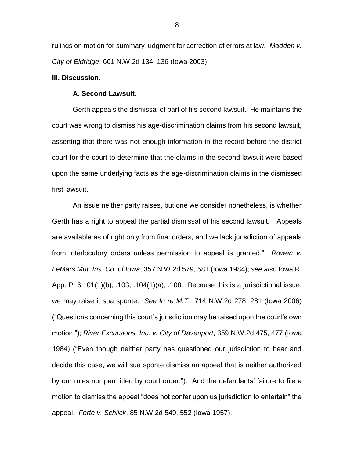rulings on motion for summary judgment for correction of errors at law. *Madden v. City of Eldridge*, 661 N.W.2d 134, 136 (Iowa 2003).

### **III. Discussion.**

#### **A. Second Lawsuit.**

Gerth appeals the dismissal of part of his second lawsuit. He maintains the court was wrong to dismiss his age-discrimination claims from his second lawsuit, asserting that there was not enough information in the record before the district court for the court to determine that the claims in the second lawsuit were based upon the same underlying facts as the age-discrimination claims in the dismissed first lawsuit.

An issue neither party raises, but one we consider nonetheless, is whether Gerth has a right to appeal the partial dismissal of his second lawsuit. "Appeals are available as of right only from final orders, and we lack jurisdiction of appeals from interlocutory orders unless permission to appeal is granted." *Rowen v. LeMars Mut. Ins. Co. of Iowa*, 357 N.W.2d 579, 581 (Iowa 1984); *see also* Iowa R. App. P. 6.101(1)(b), .103, .104(1)(a), .108. Because this is a jurisdictional issue, we may raise it sua sponte. *See In re M.T.*, 714 N.W.2d 278, 281 (Iowa 2006) ("Questions concerning this court's jurisdiction may be raised upon the court's own motion."); *River Excursions, Inc. v. City of Davenport*, 359 N.W.2d 475, 477 (Iowa 1984) ("Even though neither party has questioned our jurisdiction to hear and decide this case, we will sua sponte dismiss an appeal that is neither authorized by our rules nor permitted by court order."). And the defendants' failure to file a motion to dismiss the appeal "does not confer upon us jurisdiction to entertain" the appeal. *Forte v. Schlick*, 85 N.W.2d 549, 552 (Iowa 1957).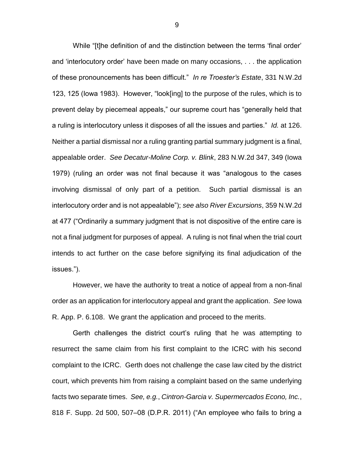While "[t]he definition of and the distinction between the terms 'final order' and 'interlocutory order' have been made on many occasions, . . . the application of these pronouncements has been difficult." *In re Troester's Estate*, 331 N.W.2d 123, 125 (Iowa 1983). However, "look[ing] to the purpose of the rules, which is to prevent delay by piecemeal appeals," our supreme court has "generally held that a ruling is interlocutory unless it disposes of all the issues and parties." *Id.* at 126. Neither a partial dismissal nor a ruling granting partial summary judgment is a final, appealable order. *See Decatur-Moline Corp. v. Blink*, 283 N.W.2d 347, 349 (Iowa 1979) (ruling an order was not final because it was "analogous to the cases involving dismissal of only part of a petition. Such partial dismissal is an interlocutory order and is not appealable"); *see also River Excursions*, 359 N.W.2d at 477 ("Ordinarily a summary judgment that is not dispositive of the entire care is not a final judgment for purposes of appeal. A ruling is not final when the trial court intends to act further on the case before signifying its final adjudication of the issues.").

However, we have the authority to treat a notice of appeal from a non-final order as an application for interlocutory appeal and grant the application. *See* Iowa R. App. P. 6.108. We grant the application and proceed to the merits.

Gerth challenges the district court's ruling that he was attempting to resurrect the same claim from his first complaint to the ICRC with his second complaint to the ICRC. Gerth does not challenge the case law cited by the district court, which prevents him from raising a complaint based on the same underlying facts two separate times. *See, e.g.*, *Cintron-Garcia v. Supermercados Econo, Inc.*, 818 F. Supp. 2d 500, 507–08 (D.P.R. 2011) ("An employee who fails to bring a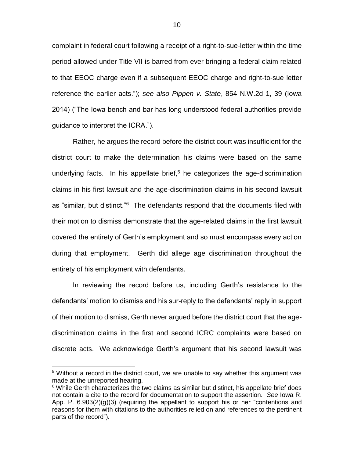complaint in federal court following a receipt of a right-to-sue-letter within the time period allowed under Title VII is barred from ever bringing a federal claim related to that EEOC charge even if a subsequent EEOC charge and right-to-sue letter reference the earlier acts."); *see also Pippen v. State*, 854 N.W.2d 1, 39 (Iowa 2014) ("The Iowa bench and bar has long understood federal authorities provide guidance to interpret the ICRA.").

Rather, he argues the record before the district court was insufficient for the district court to make the determination his claims were based on the same underlying facts. In his appellate brief,<sup>5</sup> he categorizes the age-discrimination claims in his first lawsuit and the age-discrimination claims in his second lawsuit as "similar, but distinct."<sup>6</sup> The defendants respond that the documents filed with their motion to dismiss demonstrate that the age-related claims in the first lawsuit covered the entirety of Gerth's employment and so must encompass every action during that employment. Gerth did allege age discrimination throughout the entirety of his employment with defendants.

In reviewing the record before us, including Gerth's resistance to the defendants' motion to dismiss and his sur-reply to the defendants' reply in support of their motion to dismiss, Gerth never argued before the district court that the agediscrimination claims in the first and second ICRC complaints were based on discrete acts. We acknowledge Gerth's argument that his second lawsuit was

 $5$  Without a record in the district court, we are unable to say whether this argument was made at the unreported hearing.

 $6$  While Gerth characterizes the two claims as similar but distinct, his appellate brief does not contain a cite to the record for documentation to support the assertion. *See* Iowa R. App. P.  $6.903(2)(q)(3)$  (requiring the appellant to support his or her "contentions and reasons for them with citations to the authorities relied on and references to the pertinent parts of the record").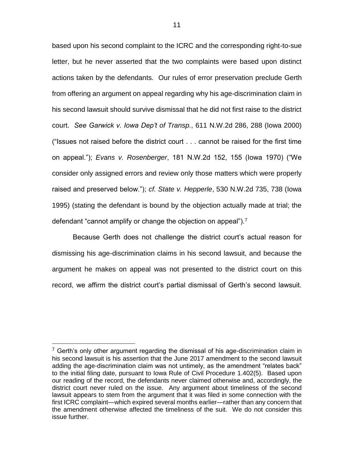based upon his second complaint to the ICRC and the corresponding right-to-sue letter, but he never asserted that the two complaints were based upon distinct actions taken by the defendants. Our rules of error preservation preclude Gerth from offering an argument on appeal regarding why his age-discrimination claim in his second lawsuit should survive dismissal that he did not first raise to the district court. *See Garwick v. Iowa Dep't of Transp.*, 611 N.W.2d 286, 288 (Iowa 2000) ("Issues not raised before the district court . . . cannot be raised for the first time on appeal."); *Evans v. Rosenberger*, 181 N.W.2d 152, 155 (Iowa 1970) ("We consider only assigned errors and review only those matters which were properly raised and preserved below."); *cf. State v. Hepperle*, 530 N.W.2d 735, 738 (Iowa 1995) (stating the defendant is bound by the objection actually made at trial; the defendant "cannot amplify or change the objection on appeal").<sup>7</sup>

Because Gerth does not challenge the district court's actual reason for dismissing his age-discrimination claims in his second lawsuit, and because the argument he makes on appeal was not presented to the district court on this record, we affirm the district court's partial dismissal of Gerth's second lawsuit.

 $7$  Gerth's only other argument regarding the dismissal of his age-discrimination claim in his second lawsuit is his assertion that the June 2017 amendment to the second lawsuit adding the age-discrimination claim was not untimely, as the amendment "relates back" to the initial filing date, pursuant to Iowa Rule of Civil Procedure 1.402(5). Based upon our reading of the record, the defendants never claimed otherwise and, accordingly, the district court never ruled on the issue. Any argument about timeliness of the second lawsuit appears to stem from the argument that it was filed in some connection with the first ICRC complaint—which expired several months earlier—rather than any concern that the amendment otherwise affected the timeliness of the suit. We do not consider this issue further.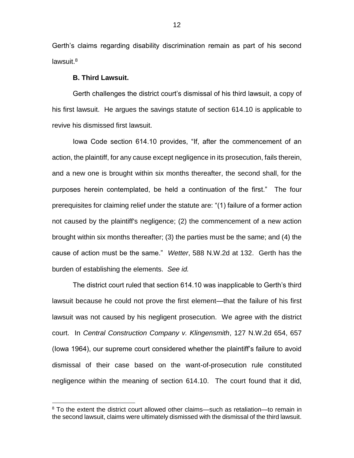Gerth's claims regarding disability discrimination remain as part of his second lawsuit.<sup>8</sup>

#### **B. Third Lawsuit.**

 $\overline{a}$ 

Gerth challenges the district court's dismissal of his third lawsuit, a copy of his first lawsuit. He argues the savings statute of section 614.10 is applicable to revive his dismissed first lawsuit.

Iowa Code section 614.10 provides, "If, after the commencement of an action, the plaintiff, for any cause except negligence in its prosecution, fails therein, and a new one is brought within six months thereafter, the second shall, for the purposes herein contemplated, be held a continuation of the first." The four prerequisites for claiming relief under the statute are: "(1) failure of a former action not caused by the plaintiff's negligence; (2) the commencement of a new action brought within six months thereafter; (3) the parties must be the same; and (4) the cause of action must be the same." *Wetter*, 588 N.W.2d at 132. Gerth has the burden of establishing the elements. *See id.* 

The district court ruled that section 614.10 was inapplicable to Gerth's third lawsuit because he could not prove the first element—that the failure of his first lawsuit was not caused by his negligent prosecution. We agree with the district court. In *Central Construction Company v. Klingensmith*, 127 N.W.2d 654, 657 (Iowa 1964), our supreme court considered whether the plaintiff's failure to avoid dismissal of their case based on the want-of-prosecution rule constituted negligence within the meaning of section 614.10. The court found that it did,

<sup>&</sup>lt;sup>8</sup> To the extent the district court allowed other claims—such as retaliation—to remain in the second lawsuit, claims were ultimately dismissed with the dismissal of the third lawsuit.